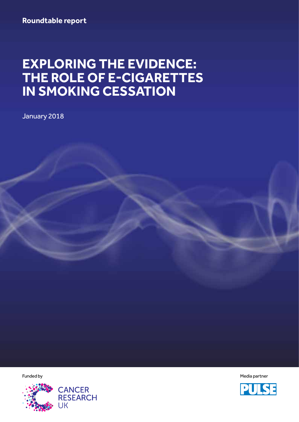# **EXPLORING THE EVIDENCE: THE ROLE OF E-CIGARETTES IN SMOKING CESSATION**

January 2018



Funded by American controller in the controller of the controller of the controller of the controller of the controller of the controller of the controller of the controller of the controller of the controller of the contr

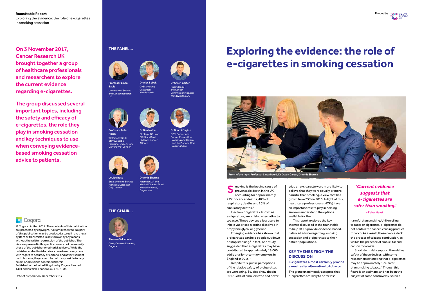**Roundtable Report** Funded by Exploring the evidence: the role of e-cigarettes in smoking cessation

On 3 November 2017, Cancer Research UK brought together a group of healthcare professionals and researchers to explore the current evidence regarding e-cigarettes.

The group discussed several important topics, including the safety and efficacy of e-cigarettes, the role they play in smoking cessation and key techniques to use when conveying evidencebased smoking cessation advice to patients.



Emerging evidence has shown that e-cigarettes can help people cut down or stop smoking.2 In fact, one study suggested that e-cigarettes may have contributed to approximately 18,000 additional long-term ex-smokers in England in 2015.<sup>3</sup>

Electronic cigarettes, known as e-cigarettes, are a rising alternative to tobacco. These devices allow users to inhale vaporised nicotine dissolved in propylene glycol or glycerine.

Despite this, public perceptions of the relative safety of e-cigarettes are worsening. Studies show that in 2017, 30% of smokers who had never

tried an e-cigarette were more likely to believe that they were equally or more harmful than smoking, a view that has grown from 25% in 2016. In light of this, healthcare professionals (HCPs) have an important role to play in helping smokers understand the options **THE CHAIR…** – Peter Hajek available for them.

> This report explores the key themes discussed in the roundtable to help HCPs provide evidence-based, balanced advice regarding smoking cessation and e-cigarettes to their patient populations.

Havering and Clinical Lead for Planned Care,



# **KEY THEMES FROM THE DISCUSSION**

**E-cigarettes almost certainly provide a much safer alternative to tobacco**  The group unanimously accepted that e-cigarettes are likely to be far less

harmful than smoking. Unlike rolling tobacco or cigarettes, e-cigarettes do not contain the cancer-causing product tobacco. As a result, these devices lack the process of tobacco combustion, as well as the presence of smoke, tar and carbon monoxide.

Short-term data support the relative safety of these devices, with some researchers estimating that e-cigarettes may be approximately 95% safer than smoking tobacco.4 Though this figure is an estimate, and has been the subject of some controversy, studies

# **Exploring the evidence: the role of e-cigarettes in smoking cessation**





© Cogora Limited 2017. The contents of this publication are protected by copyright. All rights reserved. No part of this publication may be produced, stored in a retrieval system or transmitted in any form or by any means without the written permission of the publisher. The views expressed in this publication are not necessarily those of the publisher or editorial advisors. While the publisher and editorial advisors have taken every care with regard to accuracy of editorial and advertisement contributions, they cannot be held responsible for any errors or omissions contained therein. Published in the United Kingdom by Cogora Limited, 140 London Wall, London EC2Y 5DN, UK.

Date of preparation: December 2017

Professor Peter Hajek Wolfson Institute of Preventable Medicine, Queen Mary University of London









GPSI Cancer and Cancer Prevention, Havering CCG

Bauld University of Stirling



Louise Ross Stop Smoking Service Manager, Leicester City Council Dr Amit Sharma Macmillan GP and Medical Director Tulasi Medical Practice, Dagenham

UK



Chair, Content Director, Cogora

Dr Ben Noble Strategic GP Lead CRUK and East Midlands Cancer Alliance



Macmillan GP and Cancer Commissioning Lead, Wandsworth CCG



## **THE PANEL…**



# **'Current evidence suggests that e-cigarettes are safer than smoking.'**

From left to right: Professor Linda Bauld, Dr Owen Carter, Dr Amit Sharma

show moking is the leading cause of<br>preventable death in the UK,<br>accounting for approximately preventable death in the UK, accounting for approximately 27% of cancer deaths, 40% of respiratory deaths and 20% of circulatory deaths.<sup>1</sup>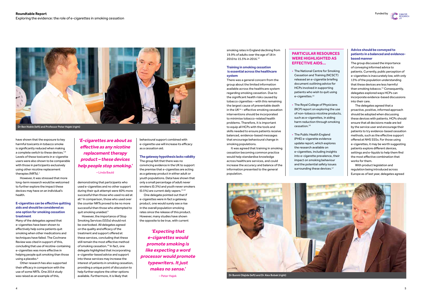## **Roundtable Report** Exploring the evidence: the role of e-cigarettes in smoking cessation



have shown that the exposure to key harmful toxicants in tobacco smoke is significantly reduced when making a complete switch to these devices.<sup>5,6</sup> Levels of these toxicants in e-cigarette users were also shown to be comparable with those in participants exclusively using other nicotine replacement therapies (NRTs).7

Many of the delegates agreed that e-cigarettes have been shown to effectively help some patients quit smoking when other medications and techniques have failed. The Cochrane Review was cited in support of this, concluding that use of nicotine-containing e-cigarettes was more effective in helping people quit smoking than those using a placebo.<sup>8</sup>

However, it was stressed that more long-term research would be welcomed to further explore the impact these devices may have on an individual's health.

### **E-cigarettes can be effective quitting aids and should be considered as one option for smoking cessation treatment**

The group felt that there was no convincing evidence in the UK to support the premise that e-cigarettes are acting as a gateway product in either adult or youth populations. Data have shown that only a small percentage of adult never smokers (0.3%) and youth never smokers  $(0.5\%)$  are current daily vapers.<sup>11,12</sup>

Other research has also supported their efficacy in comparison with the use of some NRTs. One 2014 study was raised as an example of this,

demonstrating that participants who used e-cigarettes and no other support during their quit attempt were 60% more successful than those who used no aid at all.9 In comparison, those who used over the counter NRTs proved to be no more

smoking rates in England declining from 19.9% of adults over the age of 18 in 2010 to 15.5% in 2016.<sup>13</sup>

successful than those who attempted to

quit smoking unaided.9 However, the importance of Stop Smoking Services (SSSs) should not be overlooked. All delegates agreed on the quality and efficacy of the treatment and support offered at these services, concluding that these still remain the most effective method of smoking cessation.<sup>10</sup> In fact, one delegate highlighted that incorporating e-cigarette-based advice and support into these services may increase the interest of patients in smoking cessation, providing a unique point of discussion to help further explore the other options available. Furthermore, it is likely that

- The National Centre for Smoking Cessation and Training (NCSCT) released an e-cigarette briefing document outlining advice for HCPs involved in supporting patients who wish to quit using e-cigarettes.<sup>15</sup>
- The Royal College of Physicians (RCP) report on exploring the use of non-tobacco nicotine products, such as e-cigarettes, in aiding harm reduction through smoking cessation.16
- The Public Health England (PHE) e-cigarette evidence update report, which explores the research available on e-cigarettes, including insights into e-cigarette prevalence, their impact on smoking behaviour and the potential safety issues surrounding these devices.<sup>17</sup>

behavioural support combined with e-cigarette use will increase its efficacy as a cessation aid.

# **The gateway hypothesis lacks validity**

One delegate pointed out that if e-cigarettes were in fact a gateway product, one would surely see a rise in the overall population smoking rates since the release of this product. However, many studies have shown the opposite to be true, with current

#### **Training in smoking cessation is essential across the healthcare system**

There was a general concern from the group about the limited information available across the healthcare system regarding smoking cessation. Due to the significant health risks caused by tobacco cigarettes – with this remaining the largest cause of preventable death in the UK14 – effective smoking cessation interventions should be incorporated to minimise tobacco-related health problems. Therefore, it is important to equip all HCPs with the tools and skills needed to ensure patients receive balanced, evidence-based messages that encourage behavioural change in smoking populations.

It was agreed that training in smoking cessation becoming common practice would help standardise knowledge across healthcare services, and could increase the accuracy and balance of the information presented to the general population.

# **PARTICULAR RESOURCES WERE HIGHLIGHTED AS EFFECTIVE AIDS…**

## **Advice should be conveyed to patients in a balanced and evidencebased manner**

The group discussed the importance of conveying informed advice to patients. Currently, public perception of e-cigarettes is inaccurately low, with only 13% of the population understanding that these devices are less harmful than smoking tobacco.<sup>11</sup> Consequently, delegates explored ways HCPs can incorporate evidence-based discussions into their care.

The delegates agreed that a proactive, positive, informed approach should be adopted when discussing these devices with patients. HCPs should ensure that all decisions made are led by the service user and encourage their patients to try evidence-based cessation methods, such as the effective support offered at NHS SSSs. For those using e-cigarettes, it may be worth suggesting patients explore different devices, settings and e-liquids to help them find the most effective combination that works for them.

With product legislation and regulation being introduced across Europe as of last year, delegates agreed

# **'E-cigarettes are about as effective as any nicotine replacement therapy product – these devices help people stop smoking.'**  – Linda Bauld

**'Expecting that e-cigarettes would promote smoking is like expecting a word processor would promote typewriters. It just makes no sense.'** 

– Peter Hajek



Dr Ben Noble (left) and Professor Peter Hajek (right)



Dr Bunmi Olajide (left) and Dr Alex Bobak (right)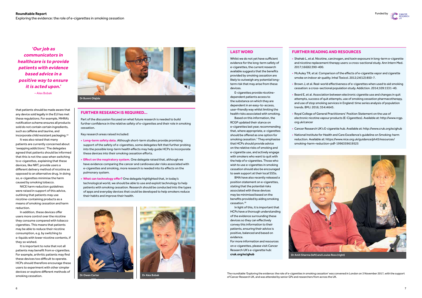

# **LAST WORD**

Whilst we do not yet have sufficient evidence for the long-term safety of e-cigarettes, the current research available suggests that the benefits provided by smoking cessation are likely to outweigh any potential longterm risk that may arise from these devices.

E-cigarettes provide nicotinedependent patients access to the substance on which they are dependent in an easy-to-access, user-friendly way whilst limiting the health risks associated with smoking.

Based on this information, the RCGP updated their stance on e-cigarettes last year, recommending that, where appropriate, e-cigarettes should be offered as one option for smoking cessation.1 They emphasise that HCPs should provide advice on the relative risks of smoking and e-cigarette use, and actively engage with smokers who want to quit with the help of e-cigarettes. Those who wish to use e-cigarettes in smoking cessation should also be encouraged to seek support at their local SSSs.

BMA have also recently released a position statement on e-cigarettes, stating that the potential risks associated with these devices may be minimised based on the benefits provided by aiding smoking cessation.18

In light of this, it is important that HCPs have a thorough understanding of the evidence surrounding these devices so they can effectively convey this information to their patients, ensuring their advice is positive, balanced and based on evidence.

For more information and resources on e-cigarettes, please visit Cancer Research UK's e-cigarette hub: **cruk.org/ecighub** 

# **FURTHER READING AND RESOURCES**

• Shahab L, et al. Nicotine, carcinogen, and toxin exposure in long-term e-cigarette and nicotine replacement therapy users: a cross-sectional study. Ann Intern Med.

• McAuley TR, et al. Comparison of the effects of e-cigarette vapor and cigarette smoke on indoor air quality. Inhal Toxicol. 2012;24(12):850-7.

• Brown J, et al. Real-world effectiveness of e-cigarettes when used to aid smoking cessation: a cross-sectional population study. Addiction. 2014;109:1531-40.

• Beard E, et al. Association between electronic cigarette use and changes in quit attempts, success of quit attempts, use of smoking cessation pharmacotherapy, and use of stop smoking services in England: time series analysis of population

- 2017;166(6):390-400.
- 
- 
- trends. BMJ. 2016; 354:i4645.
- org.uk/cancer
- 
- smoking-harm-reduction-pdf-1996359619525

• Royal College of General Practitioners' Position Statement on the use of electronic nicotine vapour products (E-Cigarettes). Available at: http://www.rcgp.

• Cancer Research UK's E-cigarette hub. Available at: http://www.cruk.org/ecighub

• National Institute for Health and Care Excellence's guideline on Smoking: harm reduction. Available at: https://www.nice.org.uk/guidance/ph45/resources/

that patients should be made aware that any device sold legally in the EU has met these regulations. For example, MHRA's notification scheme ensures all products sold do not contain certain ingredients, such as caffeine and taurine, and incorporate child resistant packaging.18

It was also raised that many patients are currently concerned about 'swapping addictions'. The delegates agreed that patients should be informed that this is not the case when switching to e-cigarettes, explaining that these devices, like NRT, provide users a different delivery method of nicotine as opposed to an alternative drug. In doing so, e-cigarettes minimise the harm caused by smoking tobacco.

NICE harm reduction guidelines were raised in support of this advice, outlining that patients may use nicotine-containing products as a means of smoking cessation and harm reduction.

In addition, these devices offer users more control over the nicotine they consume compared with tobacco cigarettes. This means that patients may be able to reduce their nicotine consumption, e.g. by switching to e-liquids with lower nicotine contents, if they so wished.

It is important to note that not all patients may benefit from e-cigarettes. For example, arthritic patients may find these devices too difficult to operate. HCPs should therefore encourage these users to experiment with other simpler devices or explore different methods of smoking cessation.

# **FURTHER RESEARCH IS REQUIRED…**

Part of the discussion focused on what future research is needed to build further confidence in the relative safety of e-cigarettes and their role in smoking cessation.

Key research areas raised included:

- **Long-term safety data.** Although short-term studies provide promising support of the safety of e-cigarettes, some delegates felt that further probing into the possible long-term health effects may help guide HCPs to incorporate these devices into their smoking cessation efforts.
- **Effect on the respiratory system.** One delegate raised that, although we have evidence comparing the cancer and cardiovascular risks associated with e-cigarettes and smoking, more research is needed into its effects on the pulmonary system.
- **What can technology offer?** One delegate highlighted that, in today's technological world, we should be able to use and exploit technology to help patients with smoking cessation. Research should be conducted into the types of apps and everyday devices that could be developed to help smokers reduce their habits and improve their health.

**'Our job as communicators in healthcare is to provide patients with evidence based advice in a positive way to ensure it is acted upon.'** 

– Alex Bobak

The roundtable 'Exploring the evidence: the role of e-cigarettes in smoking cessation' was convened in London on 3 November 2017, with the support of Cancer Research UK, and was attended by senior GPs and researchers from across the UK.